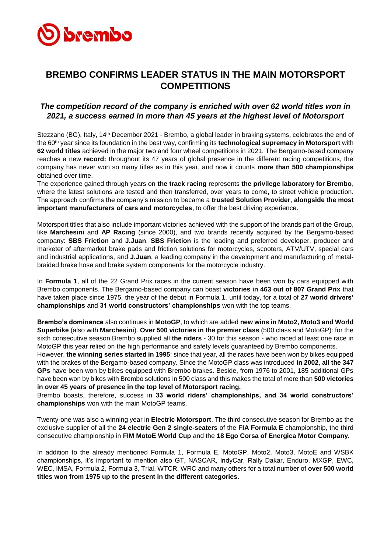

## **BREMBO CONFIRMS LEADER STATUS IN THE MAIN MOTORSPORT COMPETITIONS**

## *The competition record of the company is enriched with over 62 world titles won in 2021, a success earned in more than 45 years at the highest level of Motorsport*

Stezzano (BG), Italy, 14<sup>th</sup> December 2021 - Brembo, a global leader in braking systems, celebrates the end of the 60th year since its foundation in the best way, confirming its **technological supremacy in Motorsport** with **62 world titles** achieved in the major two and four wheel competitions in 2021. The Bergamo-based company reaches a new **record:** throughout its 47 years of global presence in the different racing competitions, the company has never won so many titles as in this year, and now it counts **more than 500 championships** obtained over time.

The experience gained through years on **the track racing** represents **the privilege laboratory for Brembo**, where the latest solutions are tested and then transferred, over years to come, to street vehicle production. The approach confirms the company's mission to became a **trusted Solution Provider**, **alongside the most important manufacturers of cars and motorcycles**, to offer the best driving experience.

Motorsport titles that also include important victories achieved with the support of the brands part of the Group, like **Marchesini** and **AP Racing** (since 2000), and two brands recently acquired by the Bergamo-based company: **SBS Friction** and **J.Juan**. **SBS Friction** is the leading and preferred developer, producer and marketer of aftermarket brake pads and friction solutions for motorcycles, scooters, ATV/UTV, special cars and industrial applications, and **J.Juan**, a leading company in the development and manufacturing of metalbraided brake hose and brake system components for the motorcycle industry.

In **Formula 1**, all of the 22 Grand Prix races in the current season have been won by cars equipped with Brembo components. The Bergamo-based company can boast **victories in 463 out of 807 Grand Prix** that have taken place since 1975, the year of the debut in Formula 1, until today, for a total of **27 world drivers' championships** and **31 world constructors' championships** won with the top teams.

**Brembo's dominance** also continues in **MotoGP**, to which are added **new wins in Moto2, Moto3 and World Superbike** (also with **Marchesini**). **Over 500 victories in the premier class** (500 class and MotoGP): for the sixth consecutive season Brembo supplied all **the riders** - 30 for this season - who raced at least one race in MotoGP this year relied on the high performance and safety levels guaranteed by Brembo components.

However, **the winning series started in 1995**: since that year, all the races have been won by bikes equipped with the brakes of the Bergamo-based company. Since the MotoGP class was introduced **in 2002**, **all the 347 GPs** have been won by bikes equipped with Brembo brakes. Beside, from 1976 to 2001, 185 additional GPs have been won by bikes with Brembo solutions in 500 class and this makes the total of more than **500 victories in over 45 years of presence in the top level of Motorsport racing.**

Brembo boasts, therefore, success in **33 world riders' championships, and 34 world constructors' championships** won with the main MotoGP teams.

Twenty-one was also a winning year in **Electric Motorsport**. The third consecutive season for Brembo as the exclusive supplier of all the **24 electric Gen 2 single-seaters** of the **FIA Formula E** championship, the third consecutive championship in **FIM MotoE World Cup** and the **18 Ego Corsa of Energica Motor Company.**

In addition to the already mentioned Formula 1, Formula E, MotoGP, Moto2, Moto3, MotoE and WSBK championships, it's important to mention also GT, NASCAR, IndyCar, Rally Dakar, Enduro, MXGP, EWC, WEC, IMSA, Formula 2, Formula 3, Trial, WTCR, WRC and many others for a total number of **over 500 world titles won from 1975 up to the present in the different categories.**